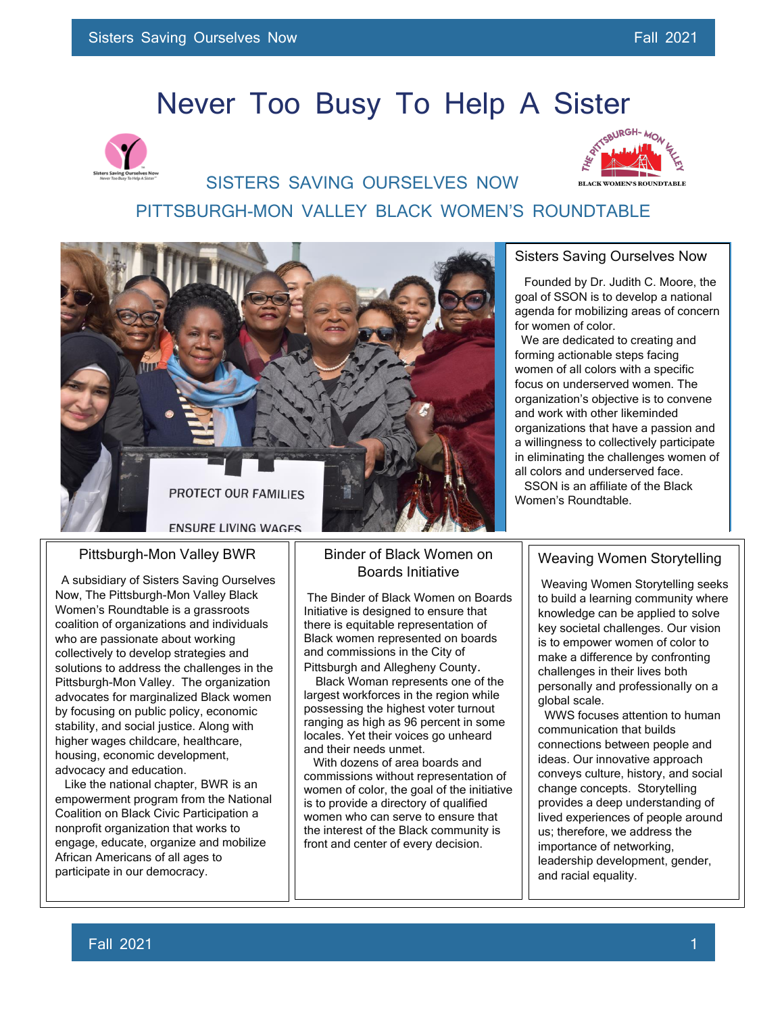# Never Too Busy To Help A Sister





 SISTERS SAVING OURSELVES NOW PITTSBURGH-MON VALLEY BLACK WOMEN'S ROUNDTABLE



#### Pittsburgh-Mon Valley BWR

 A subsidiary of Sisters Saving Ourselves Now, The Pittsburgh-Mon Valley Black Women's Roundtable is a grassroots coalition of organizations and individuals who are passionate about working collectively to develop strategies and solutions to address the challenges in the Pittsburgh-Mon Valley. The organization advocates for marginalized Black women by focusing on public policy, economic stability, and social justice. Along with higher wages childcare, healthcare, housing, economic development, advocacy and education.

 Like the national chapter, BWR is an empowerment program from the National Coalition on Black Civic Participation a nonprofit organization that works to engage, educate, organize and mobilize African Americans of all ages to participate in our democracy.

#### Binder of Black Women on Boards Initiative

The Binder of Black Women on Boards Initiative is designed to ensure that there is equitable representation of Black women represented on boards and commissions in the City of

Pittsburgh and Allegheny County. Black Woman represents one of the largest workforces in the region while possessing the highest voter turnout ranging as high as 96 percent in some locales. Yet their voices go unheard and their needs unmet.

 women who can serve to ensure that With dozens of area boards and commissions without representation of women of color, the goal of the initiative is to provide a directory of qualified the interest of the Black community is front and center of every decision.

j l

#### Sisters Saving Ourselves Now

 Founded by Dr. Judith C. Moore, the goal of SSON is to develop a national agenda for mobilizing areas of concern for women of color.

 We are dedicated to creating and forming actionable steps facing women of all colors with a specific focus on underserved women. The organization's objective is to convene and work with other likeminded organizations that have a passion and a willingness to collectively participate in eliminating the challenges women of all colors and underserved face. SSON is an affiliate of the Black

Women's Roundtable.

#### Weaving Women Storytelling

Weaving Women Storytelling seeks to build a learning community where knowledge can be applied to solve key societal challenges. Our vision is to empower women of color to make a difference by confronting challenges in their lives both personally and professionally on a global scale.

WWS focuses attention to human communication that builds connections between people and ideas. Our innovative approach conveys culture, history, and social change concepts. Storytelling provides a deep understanding of lived experiences of people around us; therefore, we address the importance of networking, leadership development, gender, and racial equality.

 $\overline{a}$ j